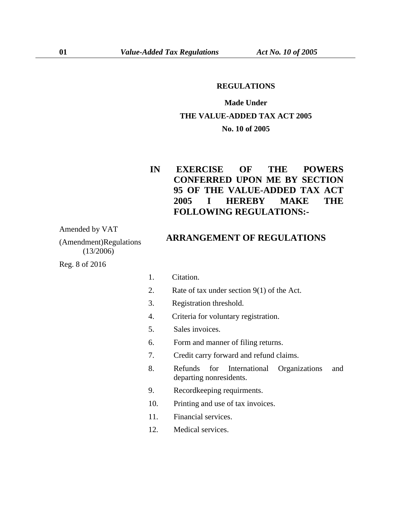#### **REGULATIONS**

# **Made Under THE VALUE-ADDED TAX ACT 2005 No. 10 of 2005**

## **IN EXERCISE OF THE POWERS CONFERRED UPON ME BY SECTION 95 OF THE VALUE-ADDED TAX ACT 2005 I HEREBY MAKE THE FOLLOWING REGULATIONS:-**

Amended by VAT

(Amendment)Regulations (13/2006)

Reg. 8 of 2016

### **ARRANGEMENT OF REGULATIONS**

- 1. Citation.
- 2. Rate of tax under section 9(1) of the Act.
- 3. Registration threshold.
- 4. Criteria for voluntary registration.
- 5. Sales invoices.
- 6. Form and manner of filing returns.
- 7. Credit carry forward and refund claims.
- 8. Refunds for International Organizations and departing nonresidents.
- 9. Recordkeeping requirments.
- 10. Printing and use of tax invoices.
- 11. Financial services.
- 12. Medical services.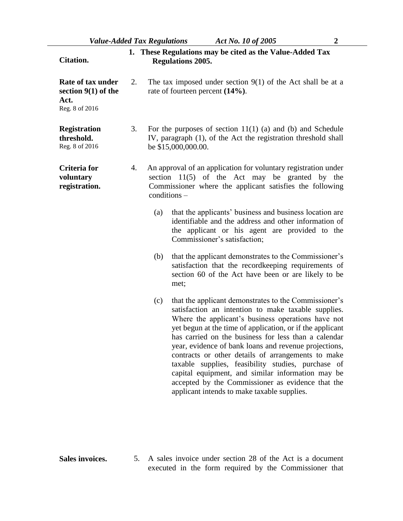| <b>Citation.</b>                                                     |    | 1. These Regulations may be cited as the Value-Added Tax<br><b>Regulations 2005.</b>                                                                                                             |                                                                                                                                                                                                                                                                                                                                                                                                                                                                                                                                                                                                                       |  |  |
|----------------------------------------------------------------------|----|--------------------------------------------------------------------------------------------------------------------------------------------------------------------------------------------------|-----------------------------------------------------------------------------------------------------------------------------------------------------------------------------------------------------------------------------------------------------------------------------------------------------------------------------------------------------------------------------------------------------------------------------------------------------------------------------------------------------------------------------------------------------------------------------------------------------------------------|--|--|
| Rate of tax under<br>section $9(1)$ of the<br>Act.<br>Reg. 8 of 2016 | 2. |                                                                                                                                                                                                  | The tax imposed under section $9(1)$ of the Act shall be at a<br>rate of fourteen percent $(14\%)$ .                                                                                                                                                                                                                                                                                                                                                                                                                                                                                                                  |  |  |
| <b>Registration</b><br>threshold.<br>Reg. 8 of 2016                  | 3. | For the purposes of section $11(1)$ (a) and (b) and Schedule<br>IV, paragraph (1), of the Act the registration threshold shall<br>be \$15,000,000.00.                                            |                                                                                                                                                                                                                                                                                                                                                                                                                                                                                                                                                                                                                       |  |  |
| Criteria for<br>voluntary<br>registration.                           | 4. | An approval of an application for voluntary registration under<br>section $11(5)$ of the Act may be granted by the<br>Commissioner where the applicant satisfies the following<br>$conditions -$ |                                                                                                                                                                                                                                                                                                                                                                                                                                                                                                                                                                                                                       |  |  |
|                                                                      |    | (a)                                                                                                                                                                                              | that the applicants' business and business location are<br>identifiable and the address and other information of<br>the applicant or his agent are provided to the<br>Commissioner's satisfaction;                                                                                                                                                                                                                                                                                                                                                                                                                    |  |  |
|                                                                      |    | (b)                                                                                                                                                                                              | that the applicant demonstrates to the Commissioner's<br>satisfaction that the recordkeeping requirements of<br>section 60 of the Act have been or are likely to be<br>met;                                                                                                                                                                                                                                                                                                                                                                                                                                           |  |  |
|                                                                      |    | (c)                                                                                                                                                                                              | that the applicant demonstrates to the Commissioner's<br>satisfaction an intention to make taxable supplies.<br>Where the applicant's business operations have not<br>yet begun at the time of application, or if the applicant<br>has carried on the business for less than a calendar<br>year, evidence of bank loans and revenue projections,<br>contracts or other details of arrangements to make<br>taxable supplies, feasibility studies, purchase of<br>capital equipment, and similar information may be<br>accepted by the Commissioner as evidence that the<br>applicant intends to make taxable supplies. |  |  |

**Sales invoices.** 5. A sales invoice under section 28 of the Act is a document executed in the form required by the Commissioner that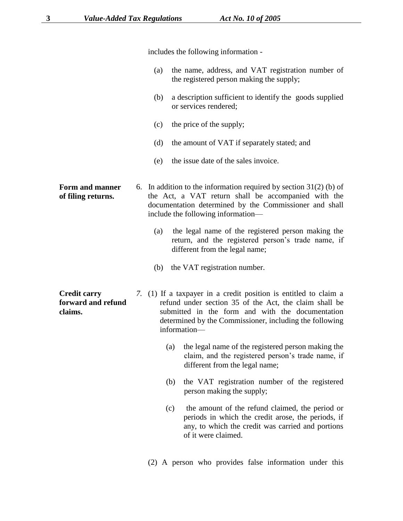|                                                      | includes the following information -                                                                                                                                                                                                                      |                                                                                                                                                                                          |  |  |  |
|------------------------------------------------------|-----------------------------------------------------------------------------------------------------------------------------------------------------------------------------------------------------------------------------------------------------------|------------------------------------------------------------------------------------------------------------------------------------------------------------------------------------------|--|--|--|
|                                                      | (a)                                                                                                                                                                                                                                                       | the name, address, and VAT registration number of<br>the registered person making the supply;                                                                                            |  |  |  |
|                                                      | (b)                                                                                                                                                                                                                                                       | a description sufficient to identify the goods supplied<br>or services rendered;                                                                                                         |  |  |  |
|                                                      | (c)                                                                                                                                                                                                                                                       | the price of the supply;                                                                                                                                                                 |  |  |  |
|                                                      | (d)                                                                                                                                                                                                                                                       | the amount of VAT if separately stated; and                                                                                                                                              |  |  |  |
|                                                      | (e)                                                                                                                                                                                                                                                       | the issue date of the sales invoice.                                                                                                                                                     |  |  |  |
| Form and manner<br>of filing returns.                | 6. In addition to the information required by section $31(2)$ (b) of<br>the Act, a VAT return shall be accompanied with the<br>documentation determined by the Commissioner and shall<br>include the following information—                               |                                                                                                                                                                                          |  |  |  |
|                                                      | (a)                                                                                                                                                                                                                                                       | the legal name of the registered person making the<br>return, and the registered person's trade name, if<br>different from the legal name;                                               |  |  |  |
|                                                      |                                                                                                                                                                                                                                                           | (b) the VAT registration number.                                                                                                                                                         |  |  |  |
| <b>Credit carry</b><br>forward and refund<br>claims. | 7. (1) If a taxpayer in a credit position is entitled to claim a<br>refund under section 35 of the Act, the claim shall be<br>submitted in the form and with the documentation<br>determined by the Commissioner, including the following<br>information- |                                                                                                                                                                                          |  |  |  |
|                                                      |                                                                                                                                                                                                                                                           | the legal name of the registered person making the<br>(a)<br>claim, and the registered person's trade name, if<br>different from the legal name;                                         |  |  |  |
|                                                      |                                                                                                                                                                                                                                                           | the VAT registration number of the registered<br>(b)<br>person making the supply;                                                                                                        |  |  |  |
|                                                      |                                                                                                                                                                                                                                                           | the amount of the refund claimed, the period or<br>(c)<br>periods in which the credit arose, the periods, if<br>any, to which the credit was carried and portions<br>of it were claimed. |  |  |  |
|                                                      |                                                                                                                                                                                                                                                           |                                                                                                                                                                                          |  |  |  |

(2) A person who provides false information under this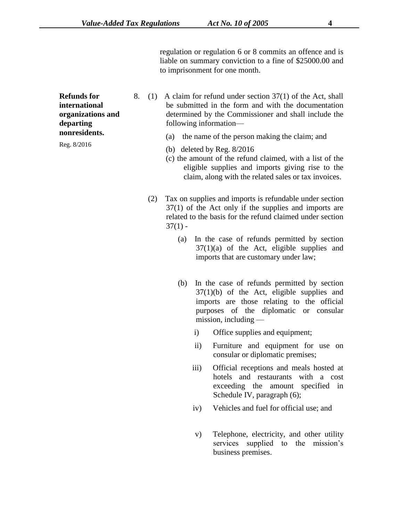regulation or regulation 6 or 8 commits an offence and is liable on summary conviction to a fine of \$25000.00 and to imprisonment for one month.

**Refunds for international organizations and departing nonresidents.**

Reg. 8/2016

- 8. (1) A claim for refund under section 37(1) of the Act, shall be submitted in the form and with the documentation determined by the Commissioner and shall include the following information—
	- (a) the name of the person making the claim; and
	- (b) deleted by Reg. 8/2016
	- (c) the amount of the refund claimed, with a list of the eligible supplies and imports giving rise to the claim, along with the related sales or tax invoices.
	- (2) Tax on supplies and imports is refundable under section 37(1) of the Act only if the supplies and imports are related to the basis for the refund claimed under section  $37(1) -$ 
		- (a) In the case of refunds permitted by section  $37(1)(a)$  of the Act, eligible supplies and imports that are customary under law;
		- (b) In the case of refunds permitted by section 37(1)(b) of the Act, eligible supplies and imports are those relating to the official purposes of the diplomatic or consular mission, including
			- i) Office supplies and equipment;
			- ii) Furniture and equipment for use on consular or diplomatic premises;
			- iii) Official receptions and meals hosted at hotels and restaurants with a cost exceeding the amount specified in Schedule IV, paragraph (6);
			- iv) Vehicles and fuel for official use; and
			- v) Telephone, electricity, and other utility services supplied to the mission's business premises.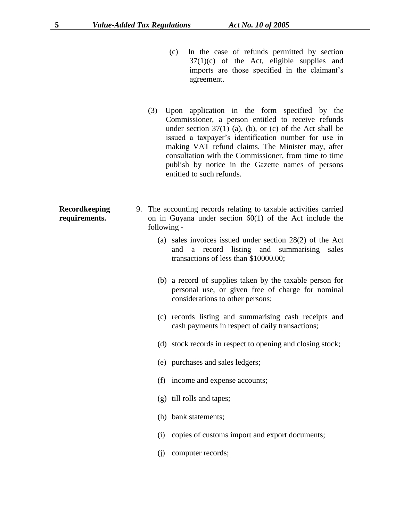- (c) In the case of refunds permitted by section  $37(1)(c)$  of the Act, eligible supplies and imports are those specified in the claimant's agreement.
- (3) Upon application in the form specified by the Commissioner, a person entitled to receive refunds under section  $37(1)$  (a), (b), or (c) of the Act shall be issued a taxpayer's identification number for use in making VAT refund claims. The Minister may, after consultation with the Commissioner, from time to time publish by notice in the Gazette names of persons entitled to such refunds.
- 9. The accounting records relating to taxable activities carried on in Guyana under section 60(1) of the Act include the following -
	- (a) sales invoices issued under section 28(2) of the Act and a record listing and summarising sales transactions of less than \$10000.00;
	- (b) a record of supplies taken by the taxable person for personal use, or given free of charge for nominal considerations to other persons;
	- (c) records listing and summarising cash receipts and cash payments in respect of daily transactions;
	- (d) stock records in respect to opening and closing stock;
	- (e) purchases and sales ledgers;
	- (f) income and expense accounts;
	- (g) till rolls and tapes;
	- (h) bank statements;
	- (i) copies of customs import and export documents;
	- (j) computer records;

**Recordkeeping requirements.**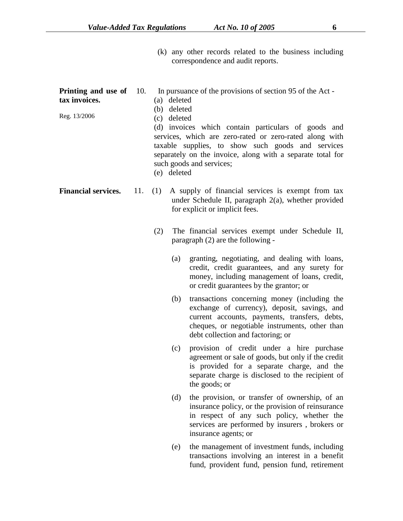(k) any other records related to the business including correspondence and audit reports.

| Printing and use of<br>tax invoices.<br>Reg. 13/2006 | 10. | In pursuance of the provisions of section 95 of the Act -<br>(a) deleted<br>(b) deleted<br>(c) deleted<br>(d) invoices which contain particulars of goods and<br>services, which are zero-rated or zero-rated along with<br>taxable supplies, to show such goods and services<br>separately on the invoice, along with a separate total for<br>such goods and services;<br>(e) deleted |                                                                                                                                               |                                                                                                                                                                                                                                      |  |  |  |
|------------------------------------------------------|-----|----------------------------------------------------------------------------------------------------------------------------------------------------------------------------------------------------------------------------------------------------------------------------------------------------------------------------------------------------------------------------------------|-----------------------------------------------------------------------------------------------------------------------------------------------|--------------------------------------------------------------------------------------------------------------------------------------------------------------------------------------------------------------------------------------|--|--|--|
| <b>Financial services.</b>                           | 11. | (1)                                                                                                                                                                                                                                                                                                                                                                                    | A supply of financial services is exempt from tax<br>under Schedule II, paragraph $2(a)$ , whether provided<br>for explicit or implicit fees. |                                                                                                                                                                                                                                      |  |  |  |
|                                                      |     | (2)                                                                                                                                                                                                                                                                                                                                                                                    |                                                                                                                                               | The financial services exempt under Schedule II,<br>paragraph (2) are the following -                                                                                                                                                |  |  |  |
|                                                      |     |                                                                                                                                                                                                                                                                                                                                                                                        | (a)                                                                                                                                           | granting, negotiating, and dealing with loans,<br>credit, credit guarantees, and any surety for<br>money, including management of loans, credit,<br>or credit guarantees by the grantor; or                                          |  |  |  |
|                                                      |     |                                                                                                                                                                                                                                                                                                                                                                                        | (b)                                                                                                                                           | transactions concerning money (including the<br>exchange of currency), deposit, savings, and<br>current accounts, payments, transfers, debts,<br>cheques, or negotiable instruments, other than<br>debt collection and factoring; or |  |  |  |
|                                                      |     |                                                                                                                                                                                                                                                                                                                                                                                        | (c)                                                                                                                                           | provision of credit under a hire purchase<br>agreement or sale of goods, but only if the credit<br>is provided for a separate charge, and the<br>separate charge is disclosed to the recipient of<br>the goods; or                   |  |  |  |
|                                                      |     |                                                                                                                                                                                                                                                                                                                                                                                        | (d)                                                                                                                                           | the provision, or transfer of ownership, of an<br>insurance policy, or the provision of reinsurance<br>in respect of any such policy, whether the<br>services are performed by insurers, brokers or<br>insurance agents; or          |  |  |  |
|                                                      |     |                                                                                                                                                                                                                                                                                                                                                                                        | (e)                                                                                                                                           | the management of investment funds, including<br>transactions involving an interest in a benefit<br>fund, provident fund, pension fund, retirement                                                                                   |  |  |  |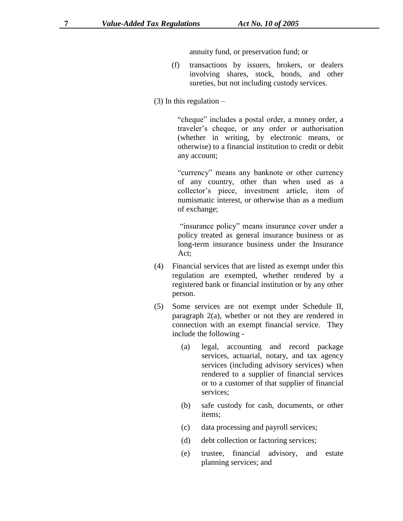annuity fund, or preservation fund; or

- (f) transactions by issuers, brokers, or dealers involving shares, stock, bonds, and other sureties, but not including custody services.
- $(3)$  In this regulation –

"cheque" includes a postal order, a money order, a traveler's cheque, or any order or authorisation (whether in writing, by electronic means, or otherwise) to a financial institution to credit or debit any account;

"currency" means any banknote or other currency of any country, other than when used as a collector's piece, investment article, item of numismatic interest, or otherwise than as a medium of exchange;

"insurance policy" means insurance cover under a policy treated as general insurance business or as long-term insurance business under the Insurance Act;

- (4) Financial services that are listed as exempt under this regulation are exempted, whether rendered by a registered bank or financial institution or by any other person.
- (5) Some services are not exempt under Schedule II, paragraph 2(a), whether or not they are rendered in connection with an exempt financial service. They include the following -
	- (a) legal, accounting and record package services, actuarial, notary, and tax agency services (including advisory services) when rendered to a supplier of financial services or to a customer of that supplier of financial services;
	- (b) safe custody for cash, documents, or other items;
	- (c) data processing and payroll services;
	- (d) debt collection or factoring services;
	- (e) trustee, financial advisory, and estate planning services; and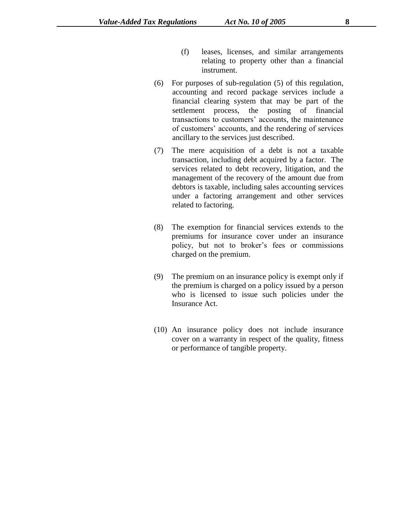- (f) leases, licenses, and similar arrangements relating to property other than a financial instrument.
- (6) For purposes of sub-regulation (5) of this regulation, accounting and record package services include a financial clearing system that may be part of the settlement process, the posting of financial transactions to customers' accounts, the maintenance of customers' accounts, and the rendering of services ancillary to the services just described.
- (7) The mere acquisition of a debt is not a taxable transaction, including debt acquired by a factor. The services related to debt recovery, litigation, and the management of the recovery of the amount due from debtors is taxable, including sales accounting services under a factoring arrangement and other services related to factoring.
- (8) The exemption for financial services extends to the premiums for insurance cover under an insurance policy, but not to broker's fees or commissions charged on the premium.
- (9) The premium on an insurance policy is exempt only if the premium is charged on a policy issued by a person who is licensed to issue such policies under the Insurance Act.
- (10) An insurance policy does not include insurance cover on a warranty in respect of the quality, fitness or performance of tangible property.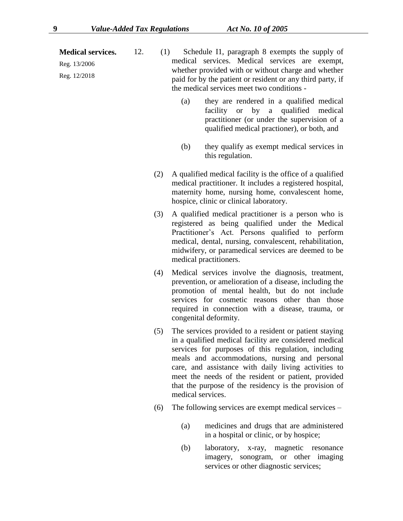**Medical services.**

Reg. 13/2006 Reg. 12/2018

- 12. (1) Schedule I1, paragraph 8 exempts the supply of medical services. Medical services are exempt, whether provided with or without charge and whether paid for by the patient or resident or any third party, if the medical services meet two conditions -
	- (a) they are rendered in a qualified medical facility or by a qualified medical practitioner (or under the supervision of a qualified medical practioner), or both, and
	- (b) they qualify as exempt medical services in this regulation.
	- (2) A qualified medical facility is the office of a qualified medical practitioner. It includes a registered hospital, maternity home, nursing home, convalescent home, hospice, clinic or clinical laboratory.
	- (3) A qualified medical practitioner is a person who is registered as being qualified under the Medical Practitioner's Act. Persons qualified to perform medical, dental, nursing, convalescent, rehabilitation, midwifery, or paramedical services are deemed to be medical practitioners.
	- (4) Medical services involve the diagnosis, treatment, prevention, or amelioration of a disease, including the promotion of mental health, but do not include services for cosmetic reasons other than those required in connection with a disease, trauma, or congenital deformity.
	- (5) The services provided to a resident or patient staying in a qualified medical facility are considered medical services for purposes of this regulation, including meals and accommodations, nursing and personal care, and assistance with daily living activities to meet the needs of the resident or patient, provided that the purpose of the residency is the provision of medical services.
	- (6) The following services are exempt medical services
		- (a) medicines and drugs that are administered in a hospital or clinic, or by hospice;
		- (b) laboratory, x-ray, magnetic resonance imagery, sonogram, or other imaging services or other diagnostic services;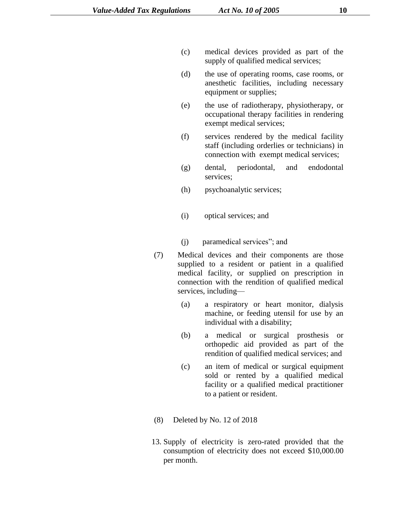- (c) medical devices provided as part of the supply of qualified medical services;
- (d) the use of operating rooms, case rooms, or anesthetic facilities, including necessary equipment or supplies;
- (e) the use of radiotherapy, physiotherapy, or occupational therapy facilities in rendering exempt medical services;
- (f) services rendered by the medical facility staff (including orderlies or technicians) in connection with exempt medical services;
- (g) dental, periodontal, and endodontal services;
- (h) psychoanalytic services;
- (i) optical services; and
- (j) paramedical services"; and
- (7) Medical devices and their components are those supplied to a resident or patient in a qualified medical facility, or supplied on prescription in connection with the rendition of qualified medical services, including—
	- (a) a respiratory or heart monitor, dialysis machine, or feeding utensil for use by an individual with a disability;
	- (b) a medical or surgical prosthesis or orthopedic aid provided as part of the rendition of qualified medical services; and
	- (c) an item of medical or surgical equipment sold or rented by a qualified medical facility or a qualified medical practitioner to a patient or resident.
- (8) Deleted by No. 12 of 2018
- 13. Supply of electricity is zero-rated provided that the consumption of electricity does not exceed \$10,000.00 per month.